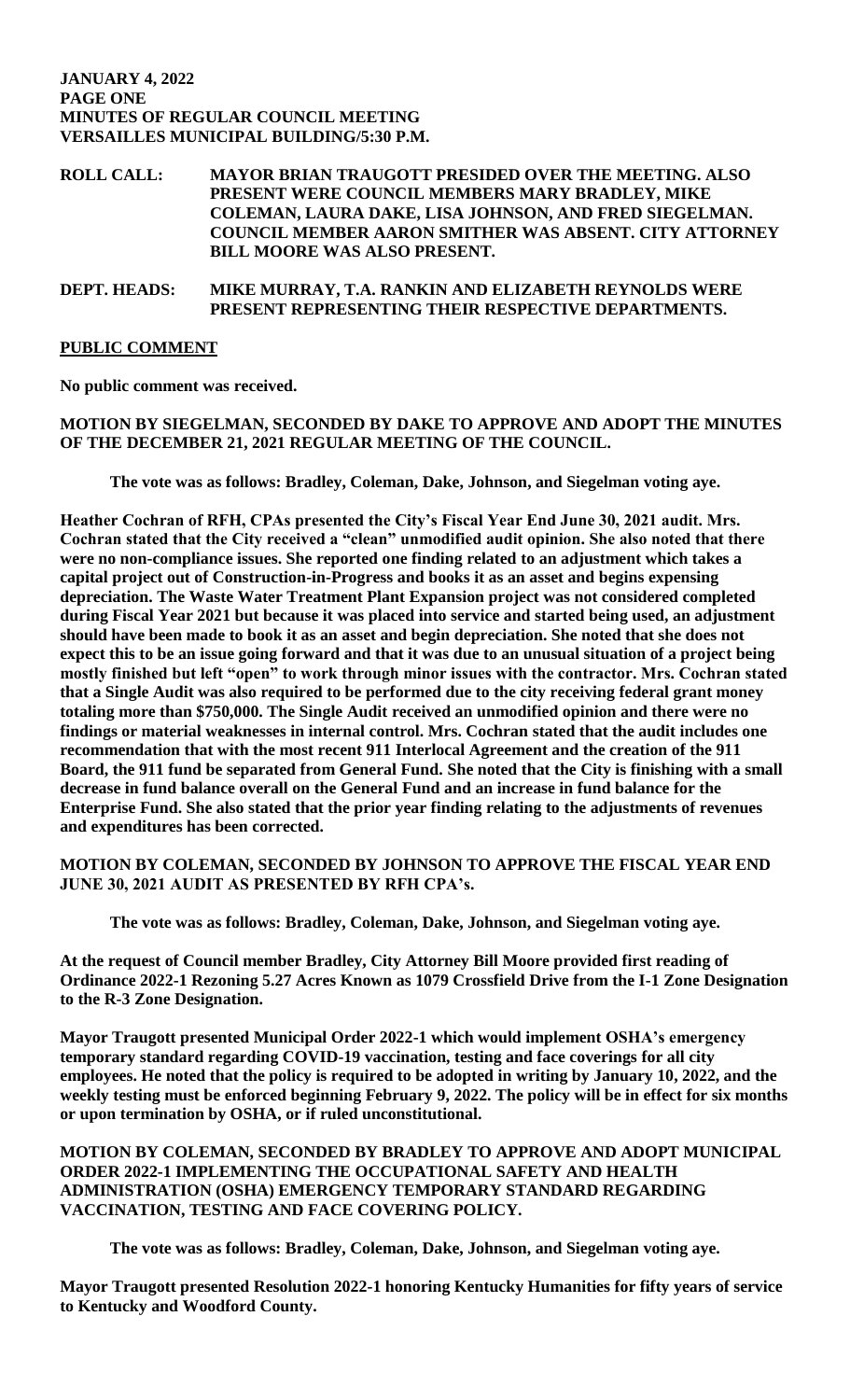### **JANUARY 4, 2022 PAGE ONE MINUTES OF REGULAR COUNCIL MEETING VERSAILLES MUNICIPAL BUILDING/5:30 P.M.**

## **ROLL CALL: MAYOR BRIAN TRAUGOTT PRESIDED OVER THE MEETING. ALSO PRESENT WERE COUNCIL MEMBERS MARY BRADLEY, MIKE COLEMAN, LAURA DAKE, LISA JOHNSON, AND FRED SIEGELMAN. COUNCIL MEMBER AARON SMITHER WAS ABSENT. CITY ATTORNEY BILL MOORE WAS ALSO PRESENT.**

## **DEPT. HEADS: MIKE MURRAY, T.A. RANKIN AND ELIZABETH REYNOLDS WERE PRESENT REPRESENTING THEIR RESPECTIVE DEPARTMENTS.**

## **PUBLIC COMMENT**

**No public comment was received.** 

## **MOTION BY SIEGELMAN, SECONDED BY DAKE TO APPROVE AND ADOPT THE MINUTES OF THE DECEMBER 21, 2021 REGULAR MEETING OF THE COUNCIL.**

**The vote was as follows: Bradley, Coleman, Dake, Johnson, and Siegelman voting aye.**

**Heather Cochran of RFH, CPAs presented the City's Fiscal Year End June 30, 2021 audit. Mrs. Cochran stated that the City received a "clean" unmodified audit opinion. She also noted that there were no non-compliance issues. She reported one finding related to an adjustment which takes a capital project out of Construction-in-Progress and books it as an asset and begins expensing depreciation. The Waste Water Treatment Plant Expansion project was not considered completed during Fiscal Year 2021 but because it was placed into service and started being used, an adjustment should have been made to book it as an asset and begin depreciation. She noted that she does not expect this to be an issue going forward and that it was due to an unusual situation of a project being mostly finished but left "open" to work through minor issues with the contractor. Mrs. Cochran stated that a Single Audit was also required to be performed due to the city receiving federal grant money totaling more than \$750,000. The Single Audit received an unmodified opinion and there were no findings or material weaknesses in internal control. Mrs. Cochran stated that the audit includes one recommendation that with the most recent 911 Interlocal Agreement and the creation of the 911 Board, the 911 fund be separated from General Fund. She noted that the City is finishing with a small decrease in fund balance overall on the General Fund and an increase in fund balance for the Enterprise Fund. She also stated that the prior year finding relating to the adjustments of revenues and expenditures has been corrected.** 

## **MOTION BY COLEMAN, SECONDED BY JOHNSON TO APPROVE THE FISCAL YEAR END JUNE 30, 2021 AUDIT AS PRESENTED BY RFH CPA's.**

**The vote was as follows: Bradley, Coleman, Dake, Johnson, and Siegelman voting aye.** 

**At the request of Council member Bradley, City Attorney Bill Moore provided first reading of Ordinance 2022-1 Rezoning 5.27 Acres Known as 1079 Crossfield Drive from the I-1 Zone Designation to the R-3 Zone Designation.** 

**Mayor Traugott presented Municipal Order 2022-1 which would implement OSHA's emergency temporary standard regarding COVID-19 vaccination, testing and face coverings for all city employees. He noted that the policy is required to be adopted in writing by January 10, 2022, and the weekly testing must be enforced beginning February 9, 2022. The policy will be in effect for six months or upon termination by OSHA, or if ruled unconstitutional.** 

**MOTION BY COLEMAN, SECONDED BY BRADLEY TO APPROVE AND ADOPT MUNICIPAL ORDER 2022-1 IMPLEMENTING THE OCCUPATIONAL SAFETY AND HEALTH ADMINISTRATION (OSHA) EMERGENCY TEMPORARY STANDARD REGARDING VACCINATION, TESTING AND FACE COVERING POLICY.** 

**The vote was as follows: Bradley, Coleman, Dake, Johnson, and Siegelman voting aye.** 

**Mayor Traugott presented Resolution 2022-1 honoring Kentucky Humanities for fifty years of service to Kentucky and Woodford County.**